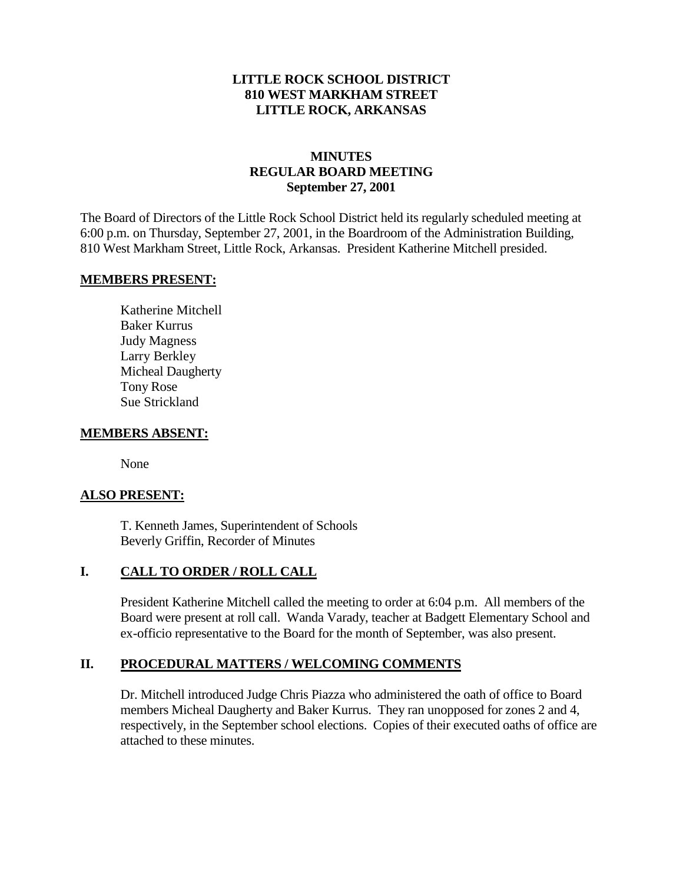### **LITTLE ROCK SCHOOL DISTRICT 810 WEST MARKHAM STREET LITTLE ROCK, ARKANSAS**

## **MINUTES REGULAR BOARD MEETING September 27, 2001**

The Board of Directors of the Little Rock School District held its regularly scheduled meeting at 6:00 p.m. on Thursday, September 27, 2001, in the Boardroom of the Administration Building, 810 West Markham Street, Little Rock, Arkansas. President Katherine Mitchell presided.

#### **MEMBERS PRESENT:**

Katherine Mitchell Baker Kurrus Judy Magness Larry Berkley Micheal Daugherty Tony Rose Sue Strickland

#### **MEMBERS ABSENT:**

None

#### **ALSO PRESENT:**

T. Kenneth James, Superintendent of Schools Beverly Griffin, Recorder of Minutes

#### **I. CALL TO ORDER / ROLL CALL**

President Katherine Mitchell called the meeting to order at 6:04 p.m. All members of the Board were present at roll call. Wanda Varady, teacher at Badgett Elementary School and ex-officio representative to the Board for the month of September, was also present.

#### **II. PROCEDURAL MATTERS / WELCOMING COMMENTS**

Dr. Mitchell introduced Judge Chris Piazza who administered the oath of office to Board members Micheal Daugherty and Baker Kurrus. They ran unopposed for zones 2 and 4, respectively, in the September school elections. Copies of their executed oaths of office are attached to these minutes.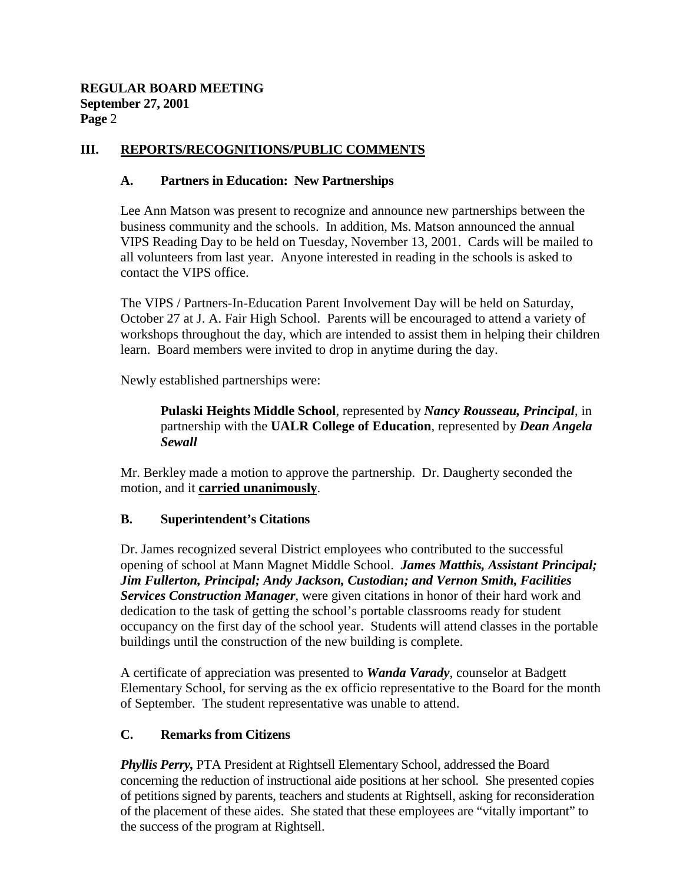## **III. REPORTS/RECOGNITIONS/PUBLIC COMMENTS**

### **A. Partners in Education: New Partnerships**

Lee Ann Matson was present to recognize and announce new partnerships between the business community and the schools. In addition, Ms. Matson announced the annual VIPS Reading Day to be held on Tuesday, November 13, 2001. Cards will be mailed to all volunteers from last year. Anyone interested in reading in the schools is asked to contact the VIPS office.

The VIPS / Partners-In-Education Parent Involvement Day will be held on Saturday, October 27 at J. A. Fair High School. Parents will be encouraged to attend a variety of workshops throughout the day, which are intended to assist them in helping their children learn. Board members were invited to drop in anytime during the day.

Newly established partnerships were:

**Pulaski Heights Middle School**, represented by *Nancy Rousseau, Principal*, in partnership with the **UALR College of Education**, represented by *Dean Angela Sewall*

Mr. Berkley made a motion to approve the partnership. Dr. Daugherty seconded the motion, and it **carried unanimously**.

## **B. Superintendent's Citations**

Dr. James recognized several District employees who contributed to the successful opening of school at Mann Magnet Middle School. *James Matthis, Assistant Principal; Jim Fullerton, Principal; Andy Jackson, Custodian; and Vernon Smith, Facilities Services Construction Manager*, were given citations in honor of their hard work and dedication to the task of getting the school's portable classrooms ready for student occupancy on the first day of the school year. Students will attend classes in the portable buildings until the construction of the new building is complete.

A certificate of appreciation was presented to *Wanda Varady*, counselor at Badgett Elementary School, for serving as the ex officio representative to the Board for the month of September. The student representative was unable to attend.

## **C. Remarks from Citizens**

*Phyllis Perry,* PTA President at Rightsell Elementary School, addressed the Board concerning the reduction of instructional aide positions at her school. She presented copies of petitions signed by parents, teachers and students at Rightsell, asking for reconsideration of the placement of these aides. She stated that these employees are "vitally important" to the success of the program at Rightsell.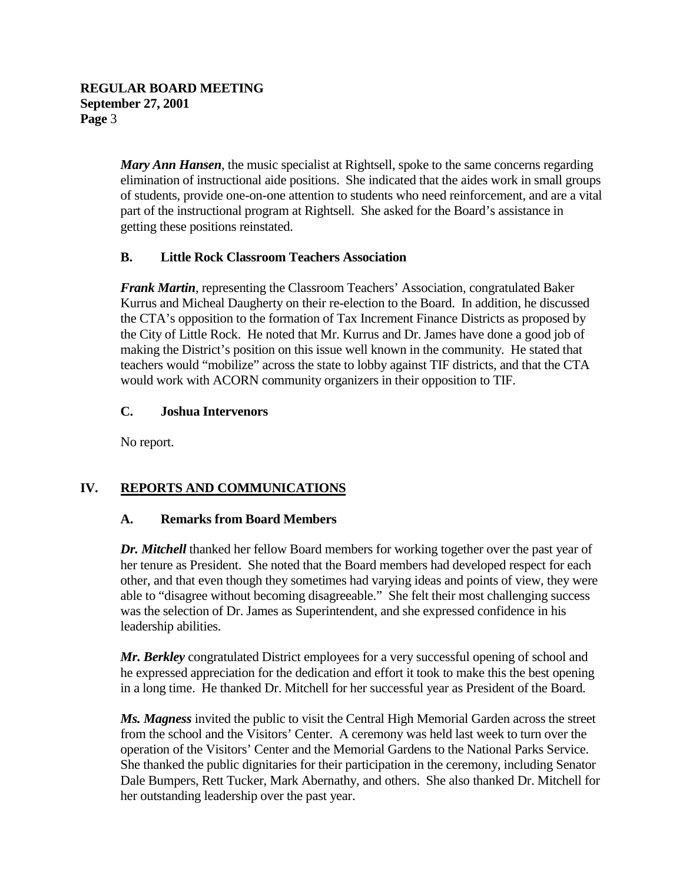*Mary Ann Hansen*, the music specialist at Rightsell, spoke to the same concerns regarding elimination of instructional aide positions. She indicated that the aides work in small groups of students, provide one-on-one attention to students who need reinforcement, and are a vital part of the instructional program at Rightsell. She asked for the Board's assistance in getting these positions reinstated.

## **B. Little Rock Classroom Teachers Association**

*Frank Martin*, representing the Classroom Teachers' Association, congratulated Baker Kurrus and Micheal Daugherty on their re-election to the Board. In addition, he discussed the CTA's opposition to the formation of Tax Increment Finance Districts as proposed by the City of Little Rock. He noted that Mr. Kurrus and Dr. James have done a good job of making the District's position on this issue well known in the community. He stated that teachers would "mobilize" across the state to lobby against TIF districts, and that the CTA would work with ACORN community organizers in their opposition to TIF.

### **C. Joshua Intervenors**

No report.

# **IV. REPORTS AND COMMUNICATIONS**

## **A. Remarks from Board Members**

*Dr. Mitchell* thanked her fellow Board members for working together over the past year of her tenure as President. She noted that the Board members had developed respect for each other, and that even though they sometimes had varying ideas and points of view, they were able to "disagree without becoming disagreeable." She felt their most challenging success was the selection of Dr. James as Superintendent, and she expressed confidence in his leadership abilities.

*Mr. Berkley* congratulated District employees for a very successful opening of school and he expressed appreciation for the dedication and effort it took to make this the best opening in a long time. He thanked Dr. Mitchell for her successful year as President of the Board.

*Ms. Magness* invited the public to visit the Central High Memorial Garden across the street from the school and the Visitors' Center. A ceremony was held last week to turn over the operation of the Visitors' Center and the Memorial Gardens to the National Parks Service. She thanked the public dignitaries for their participation in the ceremony, including Senator Dale Bumpers, Rett Tucker, Mark Abernathy, and others. She also thanked Dr. Mitchell for her outstanding leadership over the past year.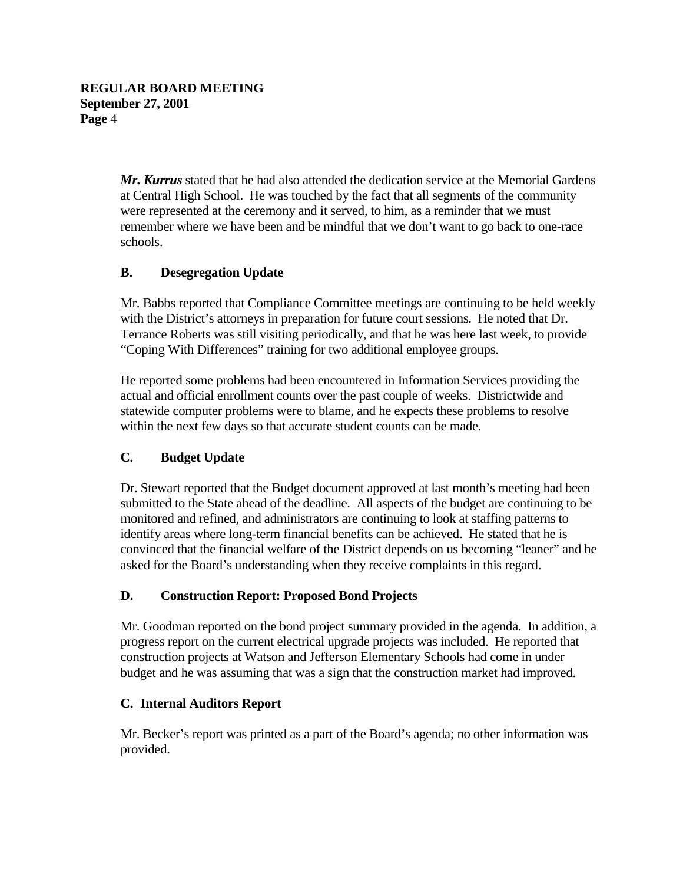*Mr. Kurrus* stated that he had also attended the dedication service at the Memorial Gardens at Central High School. He was touched by the fact that all segments of the community were represented at the ceremony and it served, to him, as a reminder that we must remember where we have been and be mindful that we don't want to go back to one-race schools.

# **B. Desegregation Update**

Mr. Babbs reported that Compliance Committee meetings are continuing to be held weekly with the District's attorneys in preparation for future court sessions. He noted that Dr. Terrance Roberts was still visiting periodically, and that he was here last week, to provide "Coping With Differences" training for two additional employee groups.

He reported some problems had been encountered in Information Services providing the actual and official enrollment counts over the past couple of weeks. Districtwide and statewide computer problems were to blame, and he expects these problems to resolve within the next few days so that accurate student counts can be made.

## **C. Budget Update**

Dr. Stewart reported that the Budget document approved at last month's meeting had been submitted to the State ahead of the deadline. All aspects of the budget are continuing to be monitored and refined, and administrators are continuing to look at staffing patterns to identify areas where long-term financial benefits can be achieved. He stated that he is convinced that the financial welfare of the District depends on us becoming "leaner" and he asked for the Board's understanding when they receive complaints in this regard.

## **D. Construction Report: Proposed Bond Projects**

Mr. Goodman reported on the bond project summary provided in the agenda. In addition, a progress report on the current electrical upgrade projects was included. He reported that construction projects at Watson and Jefferson Elementary Schools had come in under budget and he was assuming that was a sign that the construction market had improved.

## **C. Internal Auditors Report**

Mr. Becker's report was printed as a part of the Board's agenda; no other information was provided.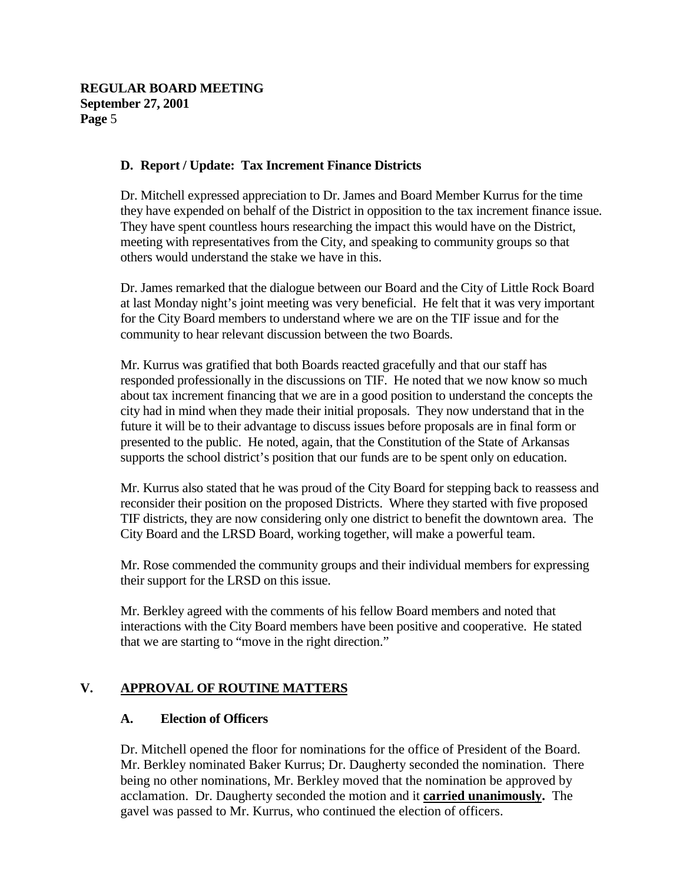### **D. Report / Update: Tax Increment Finance Districts**

Dr. Mitchell expressed appreciation to Dr. James and Board Member Kurrus for the time they have expended on behalf of the District in opposition to the tax increment finance issue. They have spent countless hours researching the impact this would have on the District, meeting with representatives from the City, and speaking to community groups so that others would understand the stake we have in this.

Dr. James remarked that the dialogue between our Board and the City of Little Rock Board at last Monday night's joint meeting was very beneficial. He felt that it was very important for the City Board members to understand where we are on the TIF issue and for the community to hear relevant discussion between the two Boards.

Mr. Kurrus was gratified that both Boards reacted gracefully and that our staff has responded professionally in the discussions on TIF. He noted that we now know so much about tax increment financing that we are in a good position to understand the concepts the city had in mind when they made their initial proposals. They now understand that in the future it will be to their advantage to discuss issues before proposals are in final form or presented to the public. He noted, again, that the Constitution of the State of Arkansas supports the school district's position that our funds are to be spent only on education.

Mr. Kurrus also stated that he was proud of the City Board for stepping back to reassess and reconsider their position on the proposed Districts. Where they started with five proposed TIF districts, they are now considering only one district to benefit the downtown area. The City Board and the LRSD Board, working together, will make a powerful team.

Mr. Rose commended the community groups and their individual members for expressing their support for the LRSD on this issue.

Mr. Berkley agreed with the comments of his fellow Board members and noted that interactions with the City Board members have been positive and cooperative. He stated that we are starting to "move in the right direction."

## **V. APPROVAL OF ROUTINE MATTERS**

#### **A. Election of Officers**

Dr. Mitchell opened the floor for nominations for the office of President of the Board. Mr. Berkley nominated Baker Kurrus; Dr. Daugherty seconded the nomination. There being no other nominations, Mr. Berkley moved that the nomination be approved by acclamation. Dr. Daugherty seconded the motion and it **carried unanimously.** The gavel was passed to Mr. Kurrus, who continued the election of officers.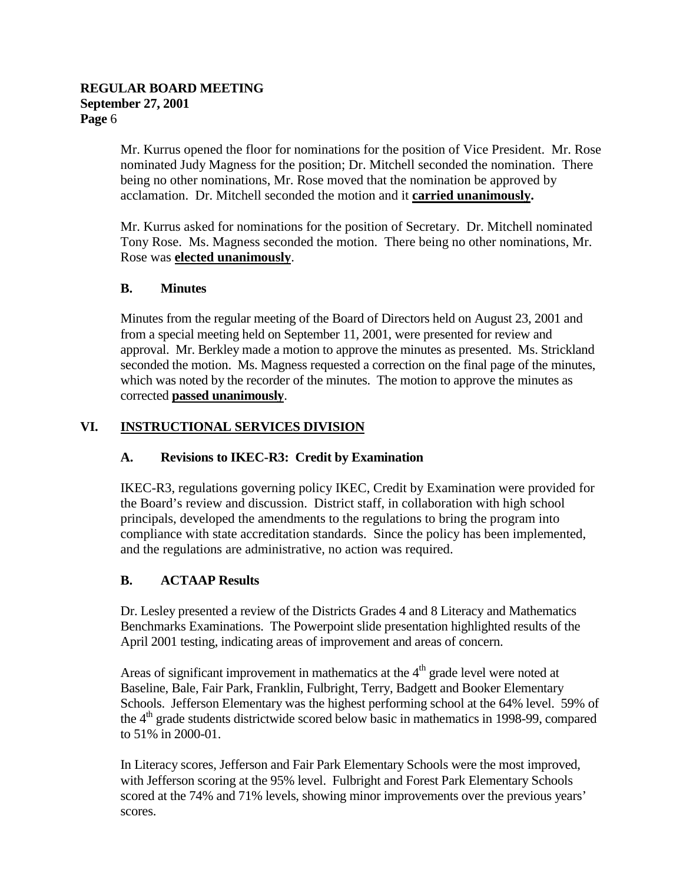Mr. Kurrus opened the floor for nominations for the position of Vice President. Mr. Rose nominated Judy Magness for the position; Dr. Mitchell seconded the nomination. There being no other nominations, Mr. Rose moved that the nomination be approved by acclamation. Dr. Mitchell seconded the motion and it **carried unanimously.**

Mr. Kurrus asked for nominations for the position of Secretary. Dr. Mitchell nominated Tony Rose. Ms. Magness seconded the motion. There being no other nominations, Mr. Rose was **elected unanimously**.

# **B. Minutes**

Minutes from the regular meeting of the Board of Directors held on August 23, 2001 and from a special meeting held on September 11, 2001, were presented for review and approval. Mr. Berkley made a motion to approve the minutes as presented. Ms. Strickland seconded the motion. Ms. Magness requested a correction on the final page of the minutes, which was noted by the recorder of the minutes. The motion to approve the minutes as corrected **passed unanimously**.

# **VI. INSTRUCTIONAL SERVICES DIVISION**

# **A. Revisions to IKEC-R3: Credit by Examination**

IKEC-R3, regulations governing policy IKEC, Credit by Examination were provided for the Board's review and discussion. District staff, in collaboration with high school principals, developed the amendments to the regulations to bring the program into compliance with state accreditation standards. Since the policy has been implemented, and the regulations are administrative, no action was required.

# **B. ACTAAP Results**

Dr. Lesley presented a review of the Districts Grades 4 and 8 Literacy and Mathematics Benchmarks Examinations. The Powerpoint slide presentation highlighted results of the April 2001 testing, indicating areas of improvement and areas of concern.

Areas of significant improvement in mathematics at the  $4<sup>th</sup>$  grade level were noted at Baseline, Bale, Fair Park, Franklin, Fulbright, Terry, Badgett and Booker Elementary Schools. Jefferson Elementary was the highest performing school at the 64% level. 59% of the  $4<sup>th</sup>$  grade students districtwide scored below basic in mathematics in 1998-99, compared to 51% in 2000-01.

In Literacy scores, Jefferson and Fair Park Elementary Schools were the most improved, with Jefferson scoring at the 95% level. Fulbright and Forest Park Elementary Schools scored at the 74% and 71% levels, showing minor improvements over the previous years' scores.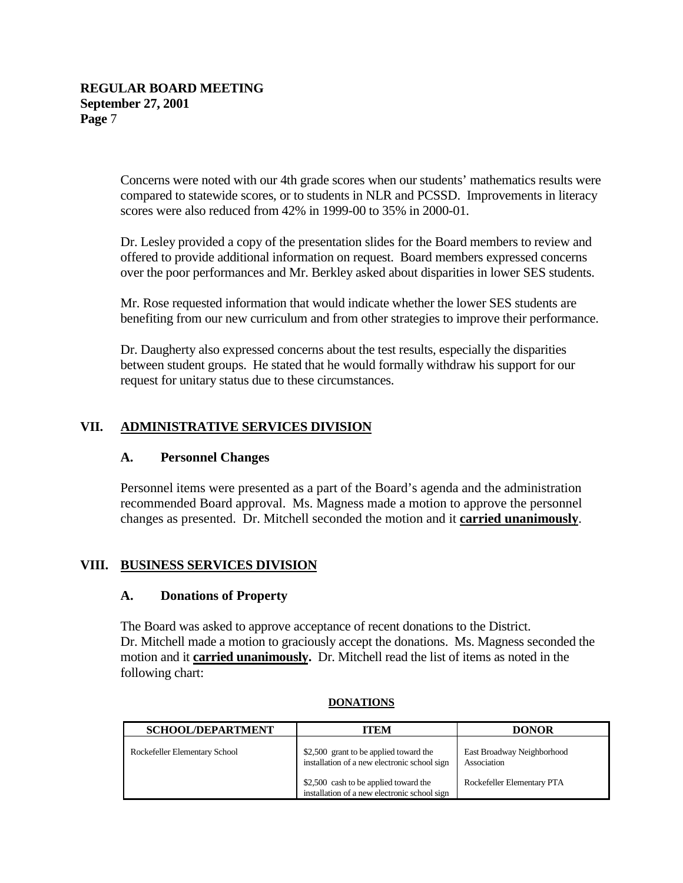Concerns were noted with our 4th grade scores when our students' mathematics results were compared to statewide scores, or to students in NLR and PCSSD. Improvements in literacy scores were also reduced from 42% in 1999-00 to 35% in 2000-01.

Dr. Lesley provided a copy of the presentation slides for the Board members to review and offered to provide additional information on request. Board members expressed concerns over the poor performances and Mr. Berkley asked about disparities in lower SES students.

Mr. Rose requested information that would indicate whether the lower SES students are benefiting from our new curriculum and from other strategies to improve their performance.

Dr. Daugherty also expressed concerns about the test results, especially the disparities between student groups. He stated that he would formally withdraw his support for our request for unitary status due to these circumstances.

# **VII. ADMINISTRATIVE SERVICES DIVISION**

#### **A. Personnel Changes**

Personnel items were presented as a part of the Board's agenda and the administration recommended Board approval. Ms. Magness made a motion to approve the personnel changes as presented. Dr. Mitchell seconded the motion and it **carried unanimously**.

## **VIII. BUSINESS SERVICES DIVISION**

#### **A. Donations of Property**

The Board was asked to approve acceptance of recent donations to the District. Dr. Mitchell made a motion to graciously accept the donations. Ms. Magness seconded the motion and it **carried unanimously.** Dr. Mitchell read the list of items as noted in the following chart:

| <b>SCHOOL/DEPARTMENT</b>      | ITEM                                                                                   | <b>DONOR</b>                              |
|-------------------------------|----------------------------------------------------------------------------------------|-------------------------------------------|
| Rockefeller Elementary School | \$2,500 grant to be applied toward the<br>installation of a new electronic school sign | East Broadway Neighborhood<br>Association |
|                               | \$2,500 cash to be applied toward the<br>installation of a new electronic school sign  | Rockefeller Elementary PTA                |

#### **DONATIONS**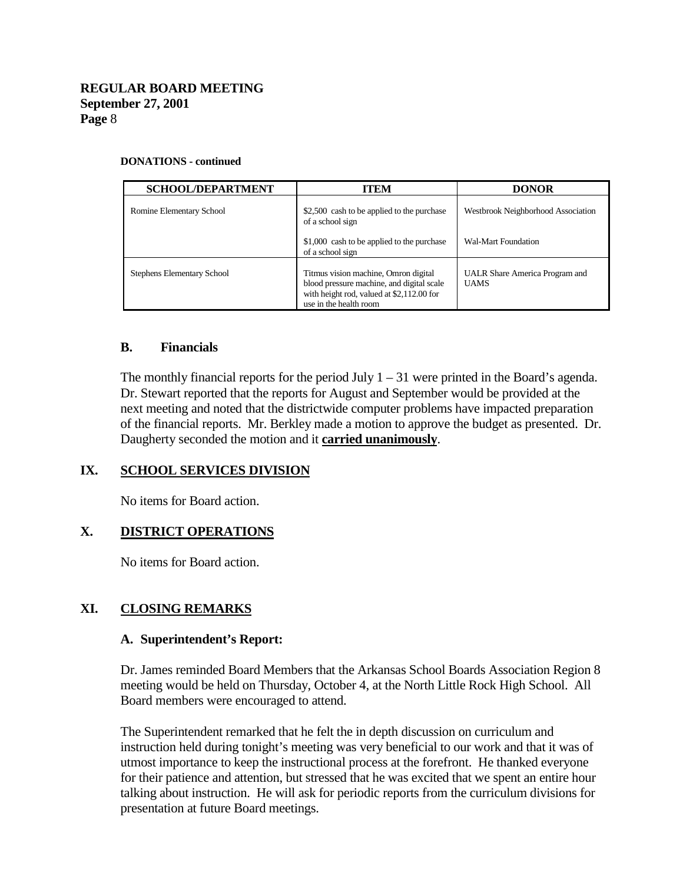#### **DONATIONS - continued**

| <b>SCHOOL/DEPARTMENT</b>          | <b>ITEM</b>                                                                                                                                              | <b>DONOR</b>                                         |
|-----------------------------------|----------------------------------------------------------------------------------------------------------------------------------------------------------|------------------------------------------------------|
| Romine Elementary School          | \$2,500 cash to be applied to the purchase<br>of a school sign                                                                                           | Westbrook Neighborhood Association                   |
|                                   | \$1,000 cash to be applied to the purchase<br>of a school sign                                                                                           | Wal-Mart Foundation                                  |
| <b>Stephens Elementary School</b> | Titmus vision machine, Omron digital<br>blood pressure machine, and digital scale<br>with height rod, valued at \$2,112.00 for<br>use in the health room | <b>UALR Share America Program and</b><br><b>UAMS</b> |

#### **B. Financials**

The monthly financial reports for the period July  $1 - 31$  were printed in the Board's agenda. Dr. Stewart reported that the reports for August and September would be provided at the next meeting and noted that the districtwide computer problems have impacted preparation of the financial reports. Mr. Berkley made a motion to approve the budget as presented. Dr. Daugherty seconded the motion and it **carried unanimously**.

#### **IX. SCHOOL SERVICES DIVISION**

No items for Board action.

#### **X. DISTRICT OPERATIONS**

No items for Board action.

#### **XI. CLOSING REMARKS**

#### **A. Superintendent's Report:**

Dr. James reminded Board Members that the Arkansas School Boards Association Region 8 meeting would be held on Thursday, October 4, at the North Little Rock High School. All Board members were encouraged to attend.

The Superintendent remarked that he felt the in depth discussion on curriculum and instruction held during tonight's meeting was very beneficial to our work and that it was of utmost importance to keep the instructional process at the forefront. He thanked everyone for their patience and attention, but stressed that he was excited that we spent an entire hour talking about instruction. He will ask for periodic reports from the curriculum divisions for presentation at future Board meetings.